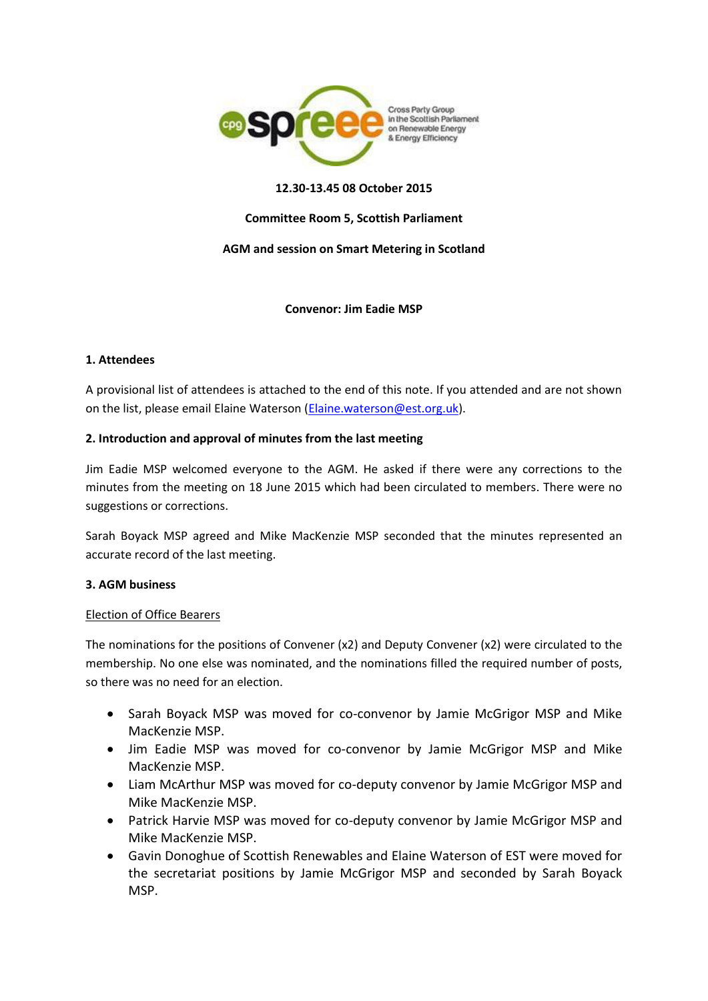

## **12.30-13.45 08 October 2015**

## **Committee Room 5, Scottish Parliament**

## **AGM and session on Smart Metering in Scotland**

## **Convenor: Jim Eadie MSP**

#### **1. Attendees**

A provisional list of attendees is attached to the end of this note. If you attended and are not shown on the list, please email Elaine Waterson [\(Elaine.waterson@est.org.uk\)](mailto:Elaine.waterson@est.org.uk).

## **2. Introduction and approval of minutes from the last meeting**

Jim Eadie MSP welcomed everyone to the AGM. He asked if there were any corrections to the minutes from the meeting on 18 June 2015 which had been circulated to members. There were no suggestions or corrections.

Sarah Boyack MSP agreed and Mike MacKenzie MSP seconded that the minutes represented an accurate record of the last meeting.

#### **3. AGM business**

#### Election of Office Bearers

The nominations for the positions of Convener (x2) and Deputy Convener (x2) were circulated to the membership. No one else was nominated, and the nominations filled the required number of posts, so there was no need for an election.

- Sarah Boyack MSP was moved for co-convenor by Jamie McGrigor MSP and Mike MacKenzie MSP.
- Jim Eadie MSP was moved for co-convenor by Jamie McGrigor MSP and Mike MacKenzie MSP.
- Liam McArthur MSP was moved for co-deputy convenor by Jamie McGrigor MSP and Mike MacKenzie MSP.
- Patrick Harvie MSP was moved for co-deputy convenor by Jamie McGrigor MSP and Mike MacKenzie MSP.
- Gavin Donoghue of Scottish Renewables and Elaine Waterson of EST were moved for the secretariat positions by Jamie McGrigor MSP and seconded by Sarah Boyack MSP.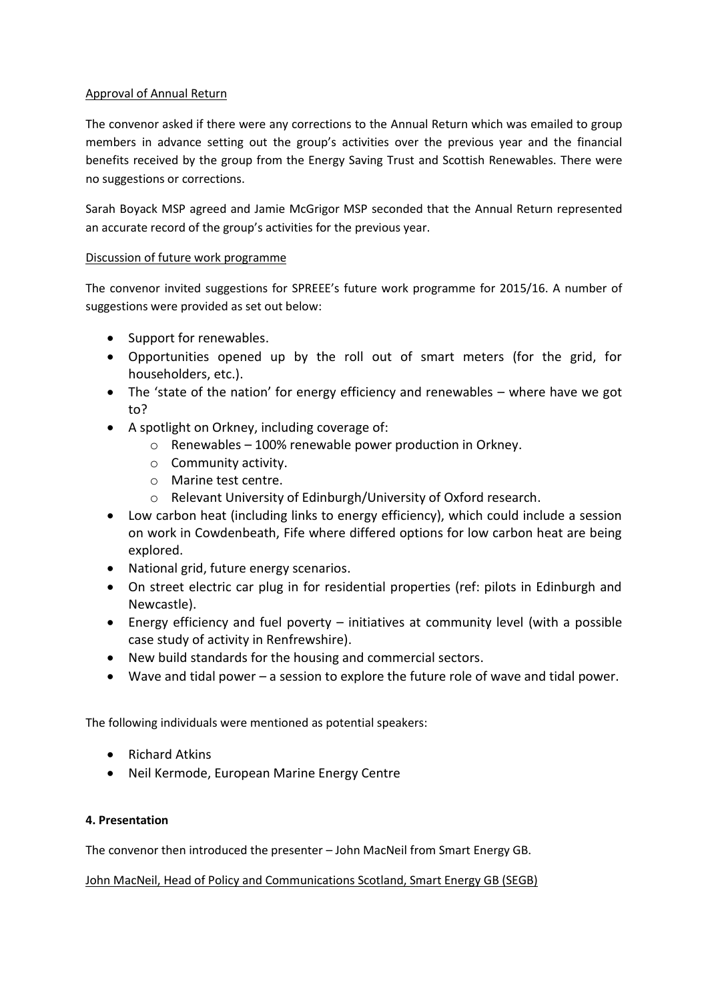## Approval of Annual Return

The convenor asked if there were any corrections to the Annual Return which was emailed to group members in advance setting out the group's activities over the previous year and the financial benefits received by the group from the Energy Saving Trust and Scottish Renewables. There were no suggestions or corrections.

Sarah Boyack MSP agreed and Jamie McGrigor MSP seconded that the Annual Return represented an accurate record of the group's activities for the previous year.

# Discussion of future work programme

The convenor invited suggestions for SPREEE's future work programme for 2015/16. A number of suggestions were provided as set out below:

- Support for renewables.
- Opportunities opened up by the roll out of smart meters (for the grid, for householders, etc.).
- The 'state of the nation' for energy efficiency and renewables where have we got to?
- A spotlight on Orkney, including coverage of:
	- o Renewables 100% renewable power production in Orkney.
	- o Community activity.
	- o Marine test centre.
	- o Relevant University of Edinburgh/University of Oxford research.
- Low carbon heat (including links to energy efficiency), which could include a session on work in Cowdenbeath, Fife where differed options for low carbon heat are being explored.
- National grid, future energy scenarios.
- On street electric car plug in for residential properties (ref: pilots in Edinburgh and Newcastle).
- Energy efficiency and fuel poverty initiatives at community level (with a possible case study of activity in Renfrewshire).
- New build standards for the housing and commercial sectors.
- Wave and tidal power a session to explore the future role of wave and tidal power.

The following individuals were mentioned as potential speakers:

- Richard Atkins
- Neil Kermode, European Marine Energy Centre

## **4. Presentation**

The convenor then introduced the presenter – John MacNeil from Smart Energy GB.

John MacNeil, Head of Policy and Communications Scotland, Smart Energy GB (SEGB)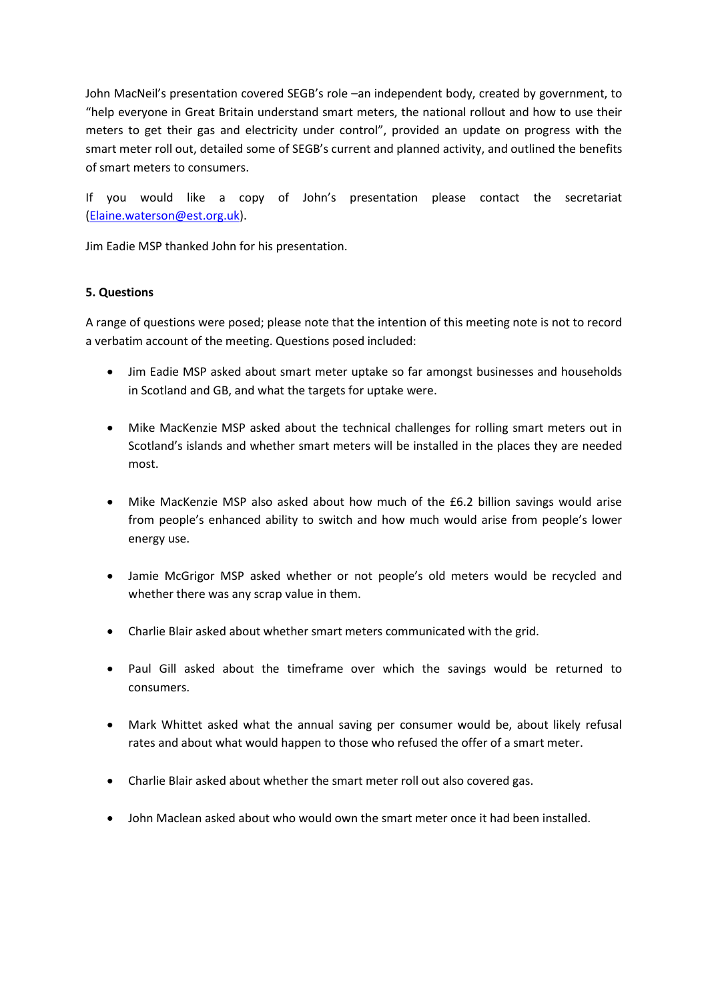John MacNeil's presentation covered SEGB's role –an independent body, created by government, to "help everyone in Great Britain understand smart meters, the national rollout and how to use their meters to get their gas and electricity under control", provided an update on progress with the smart meter roll out, detailed some of SEGB's current and planned activity, and outlined the benefits of smart meters to consumers.

If you would like a copy of John's presentation please contact the secretariat [\(Elaine.waterson@est.org.uk\)](mailto:Elaine.waterson@est.org.uk).

Jim Eadie MSP thanked John for his presentation.

## **5. Questions**

A range of questions were posed; please note that the intention of this meeting note is not to record a verbatim account of the meeting. Questions posed included:

- Jim Eadie MSP asked about smart meter uptake so far amongst businesses and households in Scotland and GB, and what the targets for uptake were.
- Mike MacKenzie MSP asked about the technical challenges for rolling smart meters out in Scotland's islands and whether smart meters will be installed in the places they are needed most.
- Mike MacKenzie MSP also asked about how much of the £6.2 billion savings would arise from people's enhanced ability to switch and how much would arise from people's lower energy use.
- Jamie McGrigor MSP asked whether or not people's old meters would be recycled and whether there was any scrap value in them.
- Charlie Blair asked about whether smart meters communicated with the grid.
- Paul Gill asked about the timeframe over which the savings would be returned to consumers.
- Mark Whittet asked what the annual saving per consumer would be, about likely refusal rates and about what would happen to those who refused the offer of a smart meter.
- Charlie Blair asked about whether the smart meter roll out also covered gas.
- John Maclean asked about who would own the smart meter once it had been installed.